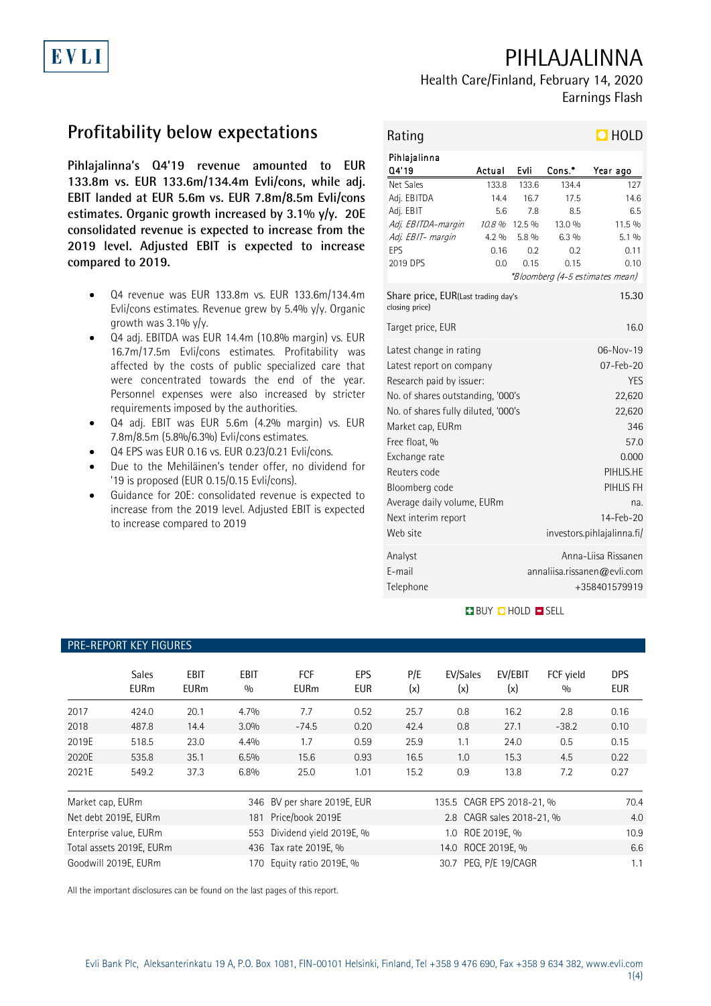# PIHLAJALINNA



## Health Care/Finland, February 14, 2020 Earnings Flash

# **Profitability below expectations**

**Pihlajalinna's Q4'19 revenue amounted to EUR 133.8m vs. EUR 133.6m/134.4m Evli/cons, while adj. EBIT landed at EUR 5.6m vs. EUR 7.8m/8.5m Evli/cons estimates. Organic growth increased by 3.1% y/y. 20E consolidated revenue is expected to increase from the 2019 level. Adjusted EBIT is expected to increase compared to 2019.**

- Q4 revenue was EUR 133.8m vs. EUR 133.6m/134.4m Evli/cons estimates. Revenue grew by 5.4% y/y. Organic growth was  $3.1\%$  y/y.
- Q4 adj. EBITDA was EUR 14.4m (10.8% margin) vs. EUR 16.7m/17.5m Evli/cons estimates. Profitability was affected by the costs of public specialized care that were concentrated towards the end of the year. Personnel expenses were also increased by stricter requirements imposed by the authorities.
- Q4 adj. EBIT was EUR 5.6m (4.2% margin) vs. EUR 7.8m/8.5m (5.8%/6.3%) Evli/cons estimates.
- Q4 EPS was EUR 0.16 vs. EUR 0.23/0.21 Evli/cons.

PRE-REPORT KEY FIGURES

- Due to the Mehiläinen's tender offer, no dividend for '19 is proposed (EUR 0.15/0.15 Evli/cons).
- Guidance for 20E: consolidated revenue is expected to increase from the 2019 level. Adjusted EBIT is expected to increase compared to 2019

| Rating                                                                                                                                                                                                                                                                                                               |                                                          |                                                        |                                                                     | $\blacksquare$ HOLD                                                                                                                                          |
|----------------------------------------------------------------------------------------------------------------------------------------------------------------------------------------------------------------------------------------------------------------------------------------------------------------------|----------------------------------------------------------|--------------------------------------------------------|---------------------------------------------------------------------|--------------------------------------------------------------------------------------------------------------------------------------------------------------|
| Pihlajalinna<br>Q4'19                                                                                                                                                                                                                                                                                                | Actual                                                   | Evli                                                   | Cons.*                                                              | Year ago                                                                                                                                                     |
| Net Sales<br>Adj. EBITDA<br>Adj. EBIT<br>Adj. EBITDA-margin<br>Adj. EBIT- margin<br>EPS<br>2019 DPS<br>Share price, EUR(Last trading day's                                                                                                                                                                           | 133.8<br>14.4<br>5.6<br>10.8 %<br>$4.2\%$<br>0.16<br>0.0 | 133.6<br>16.7<br>7.8<br>12.5 %<br>5.8 %<br>0.2<br>0.15 | 134.4<br>17.5<br>8.5<br>13.0%<br>$6.3\%$<br>0.2<br>0.15             | 127<br>14.6<br>6.5<br>11.5 %<br>5.1%<br>0.11<br>0.10<br>*Bloomberg (4-5 estimates mean)<br>15.30                                                             |
| closing price)<br>Target price, EUR                                                                                                                                                                                                                                                                                  |                                                          |                                                        |                                                                     | 16.0                                                                                                                                                         |
| Latest change in rating<br>Latest report on company<br>Research paid by issuer:<br>No. of shares outstanding, '000's<br>No. of shares fully diluted, '000's<br>Market cap, EURm<br>Free float, %<br>Exchange rate<br>Reuters code<br>Bloomberg code<br>Average daily volume, EURm<br>Next interim report<br>Web site |                                                          |                                                        |                                                                     | 06-Nov-19<br>07-Feb-20<br><b>YES</b><br>22,620<br>22,620<br>346<br>57.0<br>0.000<br>PIHLIS.HE<br>PIHLIS FH<br>na.<br>14-Feb-20<br>investors.pihlajalinna.fi/ |
| Analyst<br>E-mail<br>Telephone                                                                                                                                                                                                                                                                                       |                                                          |                                                        | Anna-Liisa Rissanen<br>annaliisa.rissanen@evli.com<br>+358401579919 |                                                                                                                                                              |

### **BUY QHOLD SELL**

## Sales EBIT EBIT FCF EPS P/E EV/Sales EV/EBIT FCF yield DPS EURm EURm % EURm EUR (x) (x) (x) % EUR 2017 424.0 20.1 4.7% 7.7 0.52 25.7 0.8 16.2 2.8 0.16 2018 487.8 14.4 3.0% -74.5 0.20 42.4 0.8 27.1 -38.2 0.10 2019E 518.5 23.0 4.4% 1.7 0.59 25.9 1.1 24.0 0.5 0.15 2020E 535.8 35.1 6.5% 15.6 0.93 16.5 1.0 15.3 4.5 0.22 2021E 549.2 37.3 6.8% 25.0 1.01 15.2 0.9 13.8 7.2 0.27 Market cap, EURm 346 BV per share 2019E, EUR 135.5 CAGR EPS 2018-21, % 70.4 Net debt 2019E, EURm 181 Price/book 2019E 2.8 CAGR sales 2018-21, % 4.0 Enterprise value, EURm 553 Dividend yield 2019E, % 1.0 ROE 2019E, % 10.9 Total assets 2019E, EURm 436 Tax rate 2019E, % 14.0 ROCE 2019E, % 6.6 Goodwill 2019E, EURm 1.1 170 Equity ratio 2019E, % 30.7 PEG, P/E 19/CAGR 1.1

All the important disclosures can be found on the last pages of this report.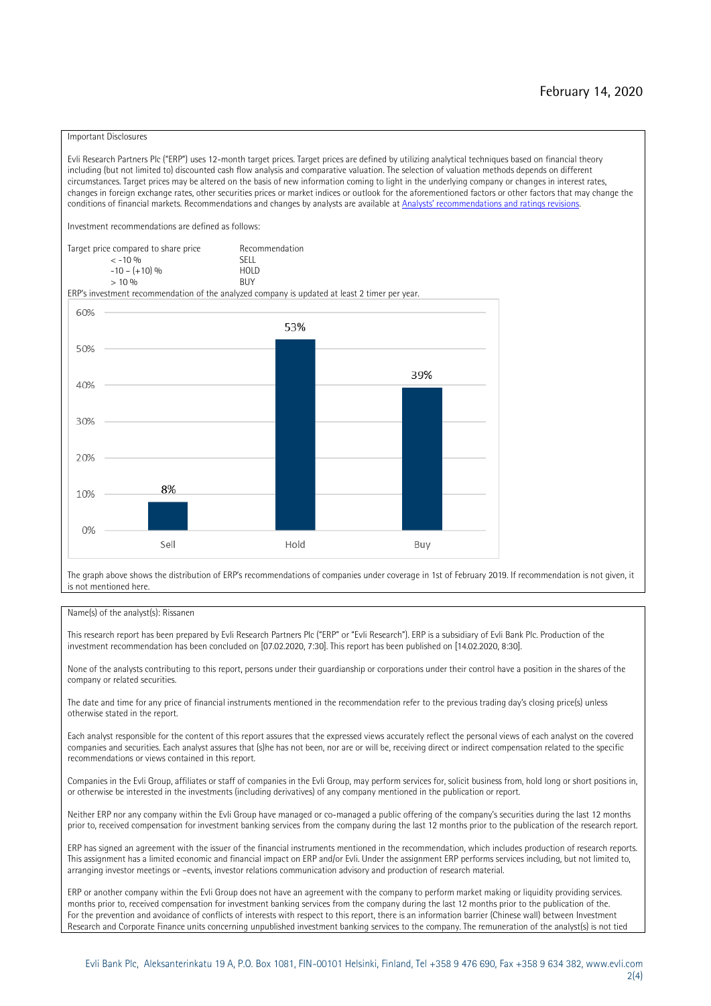#### Important Disclosures

Evli Research Partners Plc ("ERP") uses 12-month target prices. Target prices are defined by utilizing analytical techniques based on financial theory including (but not limited to) discounted cash flow analysis and comparative valuation. The selection of valuation methods depends on different circumstances. Target prices may be altered on the basis of new information coming to light in the underlying company or changes in interest rates, changes in foreign exchange rates, other securities prices or market indices or outlook for the aforementioned factors or other factors that may change the conditions of financial markets. Recommendations and changes by analysts are available at [Analysts' recommendations and ratings revisions](https://research.evli.com/JasperAllModels.action?authParam=key;461&authParam=x;G3rNagWrtf7K&authType=3). Investment recommendations are defined as follows: Target price compared to share price Recommendation<br> $\leq 10\%$  $\langle 5, 10, 10 \rangle$  SELL<br>  $\langle -10, 6, 10 \rangle$  SELL<br>  $\langle 10, 10, 10 \rangle$  $-10 - (+10) \%$  HOLD<br>> 10 % BUY  $> 10\%$ ERP's investment recommendation of the analyzed company is updated at least 2 timer per year. 60% 53% 50% 39% 40% 30%  $20%$ 8% 10% 0% Sell Hold Buy

The graph above shows the distribution of ERP's recommendations of companies under coverage in 1st of February 2019. If recommendation is not given, it is not mentioned here.

#### Name(s) of the analyst(s): Rissanen

This research report has been prepared by Evli Research Partners Plc ("ERP" or "Evli Research"). ERP is a subsidiary of Evli Bank Plc. Production of the investment recommendation has been concluded on [07.02.2020, 7:30]. This report has been published on [14.02.2020, 8:30].

None of the analysts contributing to this report, persons under their guardianship or corporations under their control have a position in the shares of the company or related securities.

The date and time for any price of financial instruments mentioned in the recommendation refer to the previous trading day's closing price(s) unless otherwise stated in the report.

Each analyst responsible for the content of this report assures that the expressed views accurately reflect the personal views of each analyst on the covered companies and securities. Each analyst assures that (s)he has not been, nor are or will be, receiving direct or indirect compensation related to the specific recommendations or views contained in this report.

Companies in the Evli Group, affiliates or staff of companies in the Evli Group, may perform services for, solicit business from, hold long or short positions in, or otherwise be interested in the investments (including derivatives) of any company mentioned in the publication or report.

Neither ERP nor any company within the Evli Group have managed or co-managed a public offering of the company's securities during the last 12 months prior to, received compensation for investment banking services from the company during the last 12 months prior to the publication of the research report.

ERP has signed an agreement with the issuer of the financial instruments mentioned in the recommendation, which includes production of research reports. This assignment has a limited economic and financial impact on ERP and/or Evli. Under the assignment ERP performs services including, but not limited to, arranging investor meetings or –events, investor relations communication advisory and production of research material.

ERP or another company within the Evli Group does not have an agreement with the company to perform market making or liquidity providing services. months prior to, received compensation for investment banking services from the company during the last 12 months prior to the publication of the. For the prevention and avoidance of conflicts of interests with respect to this report, there is an information barrier (Chinese wall) between Investment Research and Corporate Finance units concerning unpublished investment banking services to the company. The remuneration of the analyst(s) is not tied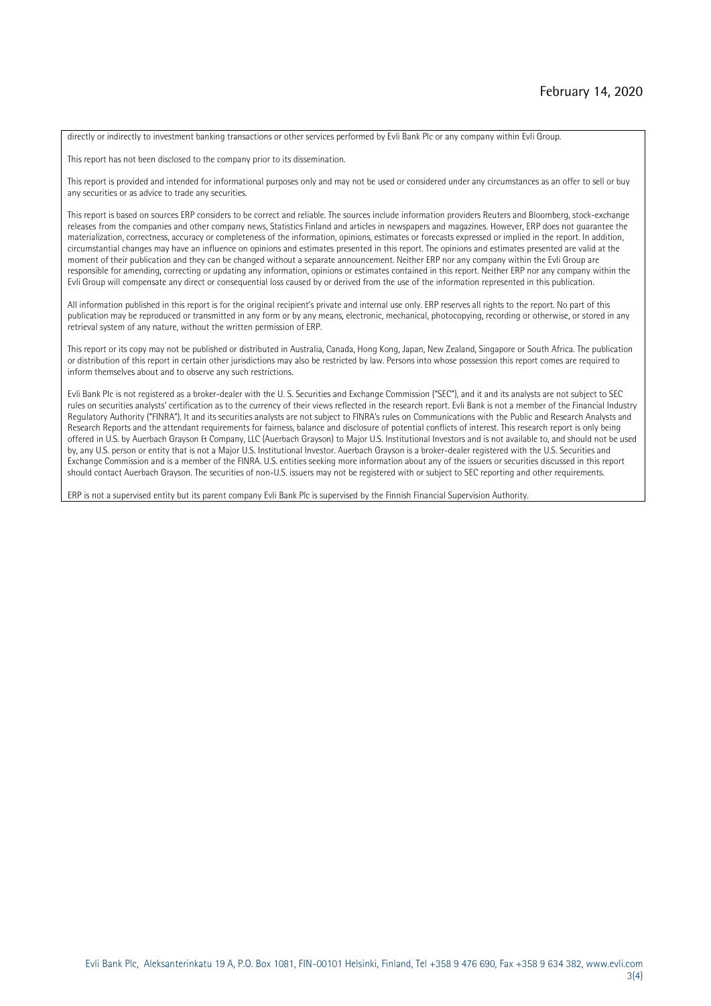directly or indirectly to investment banking transactions or other services performed by Evli Bank Plc or any company within Evli Group.

This report has not been disclosed to the company prior to its dissemination.

This report is provided and intended for informational purposes only and may not be used or considered under any circumstances as an offer to sell or buy any securities or as advice to trade any securities.

This report is based on sources ERP considers to be correct and reliable. The sources include information providers Reuters and Bloomberg, stock-exchange releases from the companies and other company news, Statistics Finland and articles in newspapers and magazines. However, ERP does not guarantee the materialization, correctness, accuracy or completeness of the information, opinions, estimates or forecasts expressed or implied in the report. In addition, circumstantial changes may have an influence on opinions and estimates presented in this report. The opinions and estimates presented are valid at the moment of their publication and they can be changed without a separate announcement. Neither ERP nor any company within the Evli Group are responsible for amending, correcting or updating any information, opinions or estimates contained in this report. Neither ERP nor any company within the Evli Group will compensate any direct or consequential loss caused by or derived from the use of the information represented in this publication.

All information published in this report is for the original recipient's private and internal use only. ERP reserves all rights to the report. No part of this publication may be reproduced or transmitted in any form or by any means, electronic, mechanical, photocopying, recording or otherwise, or stored in any retrieval system of any nature, without the written permission of ERP.

This report or its copy may not be published or distributed in Australia, Canada, Hong Kong, Japan, New Zealand, Singapore or South Africa. The publication or distribution of this report in certain other jurisdictions may also be restricted by law. Persons into whose possession this report comes are required to inform themselves about and to observe any such restrictions.

Evli Bank Plc is not registered as a broker-dealer with the U. S. Securities and Exchange Commission ("SEC"), and it and its analysts are not subject to SEC rules on securities analysts' certification as to the currency of their views reflected in the research report. Evli Bank is not a member of the Financial Industry Regulatory Authority ("FINRA"). It and its securities analysts are not subject to FINRA's rules on Communications with the Public and Research Analysts and Research Reports and the attendant requirements for fairness, balance and disclosure of potential conflicts of interest. This research report is only being offered in U.S. by Auerbach Grayson & Company, LLC (Auerbach Grayson) to Major U.S. Institutional Investors and is not available to, and should not be used by, any U.S. person or entity that is not a Major U.S. Institutional Investor. Auerbach Grayson is a broker-dealer registered with the U.S. Securities and Exchange Commission and is a member of the FINRA. U.S. entities seeking more information about any of the issuers or securities discussed in this report should contact Auerbach Grayson. The securities of non-U.S. issuers may not be registered with or subject to SEC reporting and other requirements.

ERP is not a supervised entity but its parent company Evli Bank Plc is supervised by the Finnish Financial Supervision Authority.